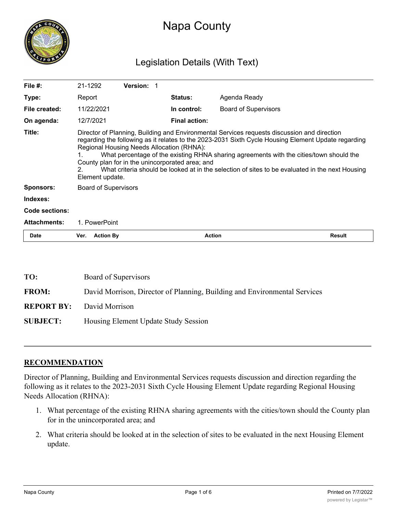

# Napa County

# Legislation Details (With Text)

| File $#$ :          | 21-1292                                                                                                                                                                                                                                                                                                                                                                                                                                                                                                                      | <b>Version: 1</b> |                      |                             |               |
|---------------------|------------------------------------------------------------------------------------------------------------------------------------------------------------------------------------------------------------------------------------------------------------------------------------------------------------------------------------------------------------------------------------------------------------------------------------------------------------------------------------------------------------------------------|-------------------|----------------------|-----------------------------|---------------|
| Type:               | Report                                                                                                                                                                                                                                                                                                                                                                                                                                                                                                                       |                   | <b>Status:</b>       | Agenda Ready                |               |
| File created:       | 11/22/2021                                                                                                                                                                                                                                                                                                                                                                                                                                                                                                                   |                   | In control:          | <b>Board of Supervisors</b> |               |
| On agenda:          | 12/7/2021                                                                                                                                                                                                                                                                                                                                                                                                                                                                                                                    |                   | <b>Final action:</b> |                             |               |
| Title:              | Director of Planning, Building and Environmental Services requests discussion and direction<br>regarding the following as it relates to the 2023-2031 Sixth Cycle Housing Element Update regarding<br>Regional Housing Needs Allocation (RHNA):<br>What percentage of the existing RHNA sharing agreements with the cities/town should the<br>County plan for in the unincorporated area; and<br>What criteria should be looked at in the selection of sites to be evaluated in the next Housing<br>$2 -$<br>Element update. |                   |                      |                             |               |
| <b>Sponsors:</b>    | <b>Board of Supervisors</b>                                                                                                                                                                                                                                                                                                                                                                                                                                                                                                  |                   |                      |                             |               |
| Indexes:            |                                                                                                                                                                                                                                                                                                                                                                                                                                                                                                                              |                   |                      |                             |               |
| Code sections:      |                                                                                                                                                                                                                                                                                                                                                                                                                                                                                                                              |                   |                      |                             |               |
| <b>Attachments:</b> | 1. PowerPoint                                                                                                                                                                                                                                                                                                                                                                                                                                                                                                                |                   |                      |                             |               |
| <b>Date</b>         | <b>Action By</b><br>Ver.                                                                                                                                                                                                                                                                                                                                                                                                                                                                                                     |                   | <b>Action</b>        |                             | <b>Result</b> |

| TO:             | Board of Supervisors                                                      |  |  |
|-----------------|---------------------------------------------------------------------------|--|--|
| <b>FROM:</b>    | David Morrison, Director of Planning, Building and Environmental Services |  |  |
|                 | <b>REPORT BY:</b> David Morrison                                          |  |  |
| <b>SUBJECT:</b> | Housing Element Update Study Session                                      |  |  |

## **RECOMMENDATION**

Director of Planning, Building and Environmental Services requests discussion and direction regarding the following as it relates to the 2023-2031 Sixth Cycle Housing Element Update regarding Regional Housing Needs Allocation (RHNA):

- 1. What percentage of the existing RHNA sharing agreements with the cities/town should the County plan for in the unincorporated area; and
- 2. What criteria should be looked at in the selection of sites to be evaluated in the next Housing Element update.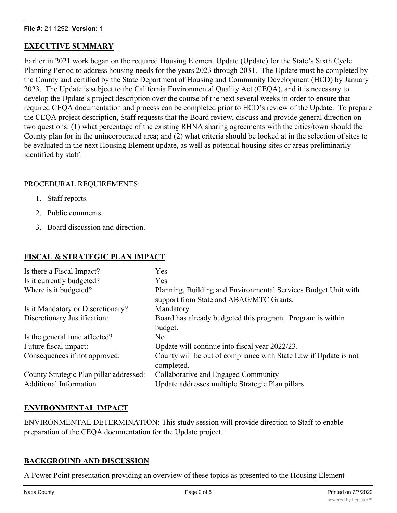# **EXECUTIVE SUMMARY**

Earlier in 2021 work began on the required Housing Element Update (Update) for the State's Sixth Cycle Planning Period to address housing needs for the years 2023 through 2031. The Update must be completed by the County and certified by the State Department of Housing and Community Development (HCD) by January 2023. The Update is subject to the California Environmental Quality Act (CEQA), and it is necessary to develop the Update's project description over the course of the next several weeks in order to ensure that required CEQA documentation and process can be completed prior to HCD's review of the Update. To prepare the CEQA project description, Staff requests that the Board review, discuss and provide general direction on two questions: (1) what percentage of the existing RHNA sharing agreements with the cities/town should the County plan for in the unincorporated area; and (2) what criteria should be looked at in the selection of sites to be evaluated in the next Housing Element update, as well as potential housing sites or areas preliminarily identified by staff.

## PROCEDURAL REQUIREMENTS:

- 1. Staff reports.
- 2. Public comments.
- 3. Board discussion and direction.

# **FISCAL & STRATEGIC PLAN IMPACT**

| Is there a Fiscal Impact?               | Yes                                                                                                       |
|-----------------------------------------|-----------------------------------------------------------------------------------------------------------|
| Is it currently budgeted?               | Yes                                                                                                       |
| Where is it budgeted?                   | Planning, Building and Environmental Services Budget Unit with<br>support from State and ABAG/MTC Grants. |
| Is it Mandatory or Discretionary?       | Mandatory                                                                                                 |
| Discretionary Justification:            | Board has already budgeted this program. Program is within                                                |
|                                         | budget.                                                                                                   |
| Is the general fund affected?           | N <sub>o</sub>                                                                                            |
| Future fiscal impact:                   | Update will continue into fiscal year 2022/23.                                                            |
| Consequences if not approved:           | County will be out of compliance with State Law if Update is not<br>completed.                            |
| County Strategic Plan pillar addressed: | Collaborative and Engaged Community                                                                       |
| <b>Additional Information</b>           | Update addresses multiple Strategic Plan pillars                                                          |

# **ENVIRONMENTAL IMPACT**

ENVIRONMENTAL DETERMINATION: This study session will provide direction to Staff to enable preparation of the CEQA documentation for the Update project.

# **BACKGROUND AND DISCUSSION**

A Power Point presentation providing an overview of these topics as presented to the Housing Element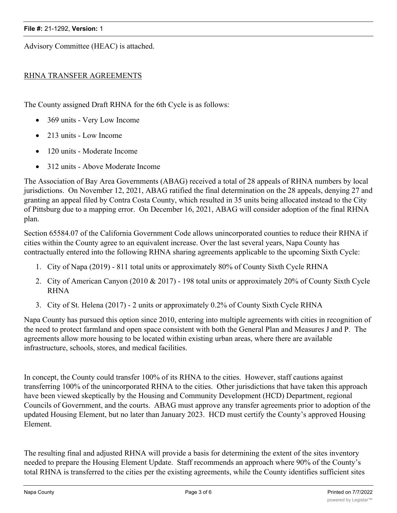#### **File #:** 21-1292, **Version:** 1

Advisory Committee (HEAC) is attached.

# RHNA TRANSFER AGREEMENTS

The County assigned Draft RHNA for the 6th Cycle is as follows:

- 369 units Very Low Income
- 213 units Low Income
- · 120 units Moderate Income
- · 312 units Above Moderate Income

The Association of Bay Area Governments (ABAG) received a total of 28 appeals of RHNA numbers by local jurisdictions. On November 12, 2021, ABAG ratified the final determination on the 28 appeals, denying 27 and granting an appeal filed by Contra Costa County, which resulted in 35 units being allocated instead to the City of Pittsburg due to a mapping error. On December 16, 2021, ABAG will consider adoption of the final RHNA plan.

Section 65584.07 of the California Government Code allows unincorporated counties to reduce their RHNA if cities within the County agree to an equivalent increase. Over the last several years, Napa County has contractually entered into the following RHNA sharing agreements applicable to the upcoming Sixth Cycle:

- 1. City of Napa (2019) 811 total units or approximately 80% of County Sixth Cycle RHNA
- 2. City of American Canyon (2010 & 2017) 198 total units or approximately 20% of County Sixth Cycle RHNA
- 3. City of St. Helena (2017) 2 units or approximately 0.2% of County Sixth Cycle RHNA

Napa County has pursued this option since 2010, entering into multiple agreements with cities in recognition of the need to protect farmland and open space consistent with both the General Plan and Measures J and P. The agreements allow more housing to be located within existing urban areas, where there are available infrastructure, schools, stores, and medical facilities.

In concept, the County could transfer 100% of its RHNA to the cities. However, staff cautions against transferring 100% of the unincorporated RHNA to the cities. Other jurisdictions that have taken this approach have been viewed skeptically by the Housing and Community Development (HCD) Department, regional Councils of Government, and the courts. ABAG must approve any transfer agreements prior to adoption of the updated Housing Element, but no later than January 2023. HCD must certify the County's approved Housing Element.

The resulting final and adjusted RHNA will provide a basis for determining the extent of the sites inventory needed to prepare the Housing Element Update. Staff recommends an approach where 90% of the County's total RHNA is transferred to the cities per the existing agreements, while the County identifies sufficient sites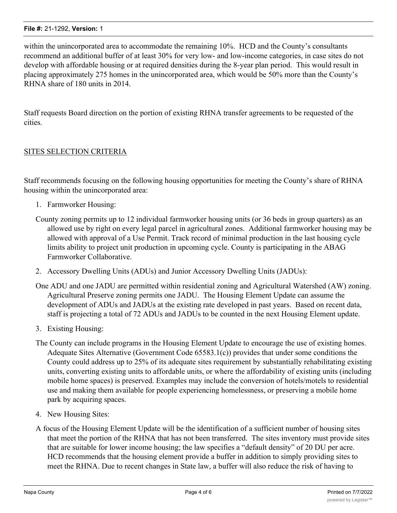within the unincorporated area to accommodate the remaining 10%. HCD and the County's consultants recommend an additional buffer of at least 30% for very low- and low-income categories, in case sites do not develop with affordable housing or at required densities during the 8-year plan period. This would result in placing approximately 275 homes in the unincorporated area, which would be 50% more than the County's RHNA share of 180 units in 2014.

Staff requests Board direction on the portion of existing RHNA transfer agreements to be requested of the cities.

# SITES SELECTION CRITERIA

Staff recommends focusing on the following housing opportunities for meeting the County's share of RHNA housing within the unincorporated area:

- 1. Farmworker Housing:
- County zoning permits up to 12 individual farmworker housing units (or 36 beds in group quarters) as an allowed use by right on every legal parcel in agricultural zones. Additional farmworker housing may be allowed with approval of a Use Permit. Track record of minimal production in the last housing cycle limits ability to project unit production in upcoming cycle. County is participating in the ABAG Farmworker Collaborative.
- 2. Accessory Dwelling Units (ADUs) and Junior Accessory Dwelling Units (JADUs):

One ADU and one JADU are permitted within residential zoning and Agricultural Watershed (AW) zoning. Agricultural Preserve zoning permits one JADU. The Housing Element Update can assume the development of ADUs and JADUs at the existing rate developed in past years. Based on recent data, staff is projecting a total of 72 ADUs and JADUs to be counted in the next Housing Element update.

- 3. Existing Housing:
- The County can include programs in the Housing Element Update to encourage the use of existing homes. Adequate Sites Alternative (Government Code 65583.1(c)) provides that under some conditions the County could address up to 25% of its adequate sites requirement by substantially rehabilitating existing units, converting existing units to affordable units, or where the affordability of existing units (including mobile home spaces) is preserved. Examples may include the conversion of hotels/motels to residential use and making them available for people experiencing homelessness, or preserving a mobile home park by acquiring spaces.
- 4. New Housing Sites:
- A focus of the Housing Element Update will be the identification of a sufficient number of housing sites that meet the portion of the RHNA that has not been transferred. The sites inventory must provide sites that are suitable for lower income housing; the law specifies a "default density" of 20 DU per acre. HCD recommends that the housing element provide a buffer in addition to simply providing sites to meet the RHNA. Due to recent changes in State law, a buffer will also reduce the risk of having to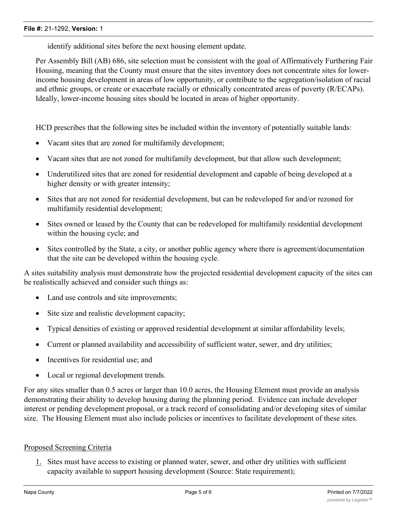identify additional sites before the next housing element update.

Per Assembly Bill (AB) 686, site selection must be consistent with the goal of Affirmatively Furthering Fair Housing, meaning that the County must ensure that the sites inventory does not concentrate sites for lowerincome housing development in areas of low opportunity, or contribute to the segregation/isolation of racial and ethnic groups, or create or exacerbate racially or ethnically concentrated areas of poverty (R/ECAPs). Ideally, lower-income housing sites should be located in areas of higher opportunity.

HCD prescribes that the following sites be included within the inventory of potentially suitable lands:

- Vacant sites that are zoned for multifamily development;
- · Vacant sites that are not zoned for multifamily development, but that allow such development;
- · Underutilized sites that are zoned for residential development and capable of being developed at a higher density or with greater intensity;
- · Sites that are not zoned for residential development, but can be redeveloped for and/or rezoned for multifamily residential development;
- · Sites owned or leased by the County that can be redeveloped for multifamily residential development within the housing cycle; and
- Sites controlled by the State, a city, or another public agency where there is agreement/documentation that the site can be developed within the housing cycle.

A sites suitability analysis must demonstrate how the projected residential development capacity of the sites can be realistically achieved and consider such things as:

- Land use controls and site improvements;
- Site size and realistic development capacity;
- · Typical densities of existing or approved residential development at similar affordability levels;
- · Current or planned availability and accessibility of sufficient water, sewer, and dry utilities;
- Incentives for residential use; and
- Local or regional development trends.

For any sites smaller than 0.5 acres or larger than 10.0 acres, the Housing Element must provide an analysis demonstrating their ability to develop housing during the planning period. Evidence can include developer interest or pending development proposal, or a track record of consolidating and/or developing sites of similar size. The Housing Element must also include policies or incentives to facilitate development of these sites.

# Proposed Screening Criteria

1. Sites must have access to existing or planned water, sewer, and other dry utilities with sufficient capacity available to support housing development (Source: State requirement);